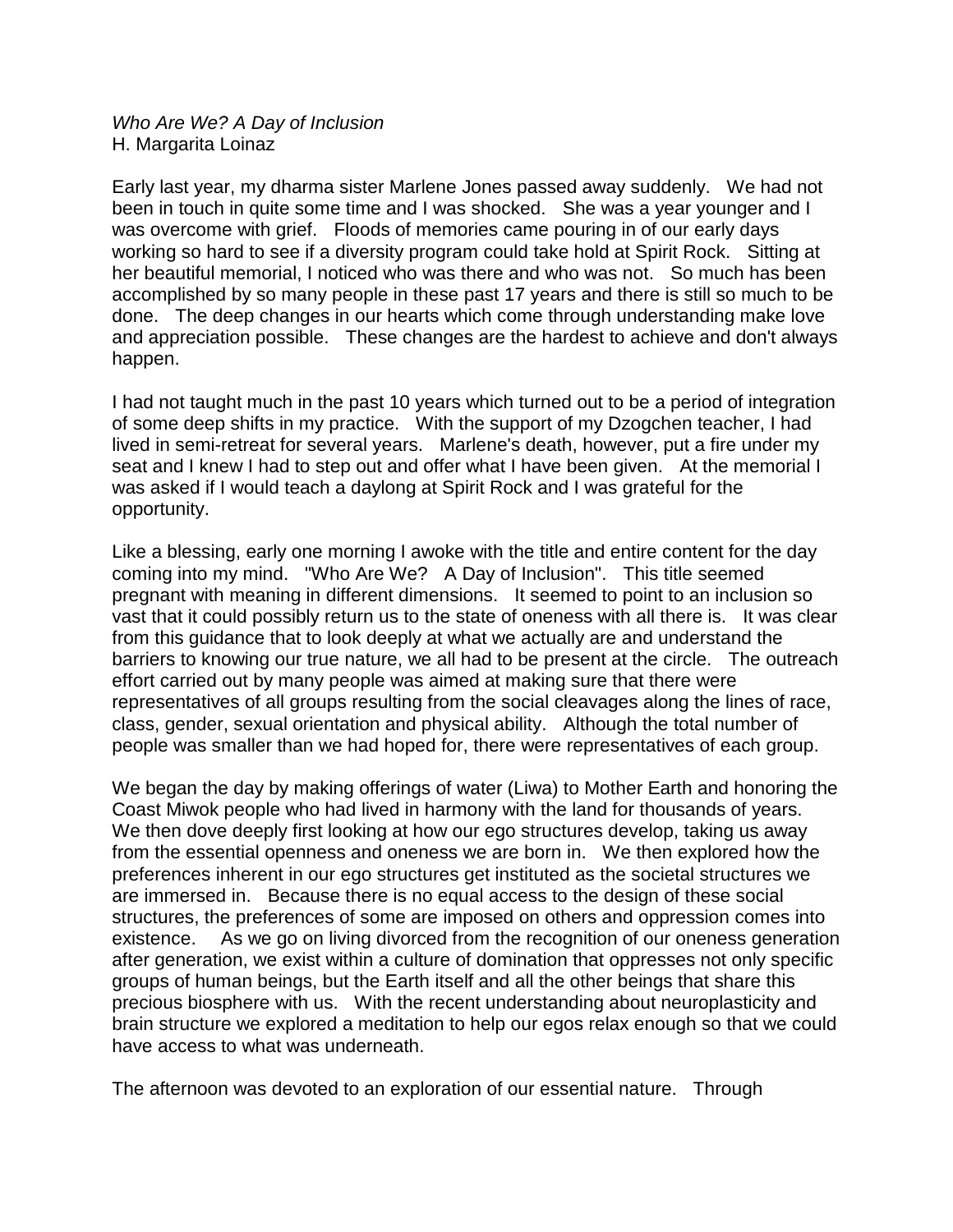*Who Are We? A Day of Inclusion* H. Margarita Loinaz

Early last year, my dharma sister Marlene Jones passed away suddenly. We had not been in touch in quite some time and I was shocked. She was a year younger and I was overcome with grief. Floods of memories came pouring in of our early days working so hard to see if a diversity program could take hold at Spirit Rock. Sitting at her beautiful memorial, I noticed who was there and who was not. So much has been accomplished by so many people in these past 17 years and there is still so much to be done. The deep changes in our hearts which come through understanding make love and appreciation possible. These changes are the hardest to achieve and don't always happen.

I had not taught much in the past 10 years which turned out to be a period of integration of some deep shifts in my practice. With the support of my Dzogchen teacher, I had lived in semi-retreat for several years. Marlene's death, however, put a fire under my seat and I knew I had to step out and offer what I have been given. At the memorial I was asked if I would teach a daylong at Spirit Rock and I was grateful for the opportunity.

Like a blessing, early one morning I awoke with the title and entire content for the day coming into my mind. "Who Are We? A Day of Inclusion". This title seemed pregnant with meaning in different dimensions. It seemed to point to an inclusion so vast that it could possibly return us to the state of oneness with all there is. It was clear from this guidance that to look deeply at what we actually are and understand the barriers to knowing our true nature, we all had to be present at the circle. The outreach effort carried out by many people was aimed at making sure that there were representatives of all groups resulting from the social cleavages along the lines of race, class, gender, sexual orientation and physical ability. Although the total number of people was smaller than we had hoped for, there were representatives of each group.

We began the day by making offerings of water (Liwa) to Mother Earth and honoring the Coast Miwok people who had lived in harmony with the land for thousands of years. We then dove deeply first looking at how our ego structures develop, taking us away from the essential openness and oneness we are born in. We then explored how the preferences inherent in our ego structures get instituted as the societal structures we are immersed in. Because there is no equal access to the design of these social structures, the preferences of some are imposed on others and oppression comes into existence. As we go on living divorced from the recognition of our oneness generation after generation, we exist within a culture of domination that oppresses not only specific groups of human beings, but the Earth itself and all the other beings that share this precious biosphere with us. With the recent understanding about neuroplasticity and brain structure we explored a meditation to help our egos relax enough so that we could have access to what was underneath.

The afternoon was devoted to an exploration of our essential nature. Through